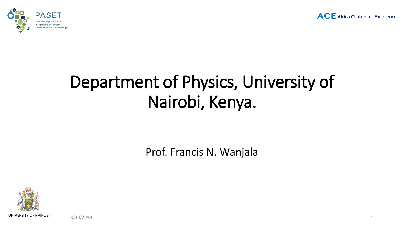



# Department of Physics, University of Nairobi, Kenya.

Prof. Francis N. Wanjala



8/30/2019 1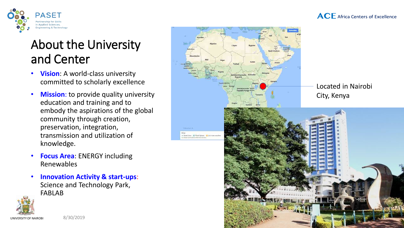

#### **ACF** Africa Centers of Excellence

## About the University and Center

- **Vision**: A world-class university committed to scholarly excellence
- Mission: to provide quality university education and training and to embody the aspirations of the global community through creation, preservation, integration, transmission and utilization of knowledge.
- **Focus Area**: ENERGY including Renewables
- **Innovation Activity & start-ups**: Science and Technology Park, FABLAB





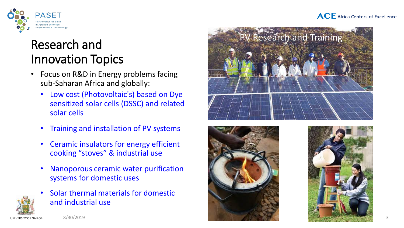#### **ACF** Africa Centers of Excellence



## Research and Innovation Topics

- Focus on R&D in Energy problems facing sub-Saharan Africa and globally:
	- Low cost (Photovoltaic's) based on Dye sensitized solar cells (DSSC) and related solar cells
	- Training and installation of PV systems
	- Ceramic insulators for energy efficient cooking "stoves" & industrial use
	- Nanoporous ceramic water purification systems for domestic uses
	- Solar thermal materials for domestic and industrial use







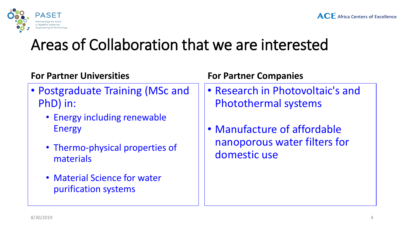

# Areas of Collaboration that we are interested

### **For Partner Universities**

- Postgraduate Training (MSc and PhD) in:
	- Energy including renewable Energy
	- Thermo-physical properties of materials
	- Material Science for water purification systems

### **For Partner Companies**

- Research in Photovoltaic's and Photothermal systems
- Manufacture of affordable nanoporous water filters for domestic use